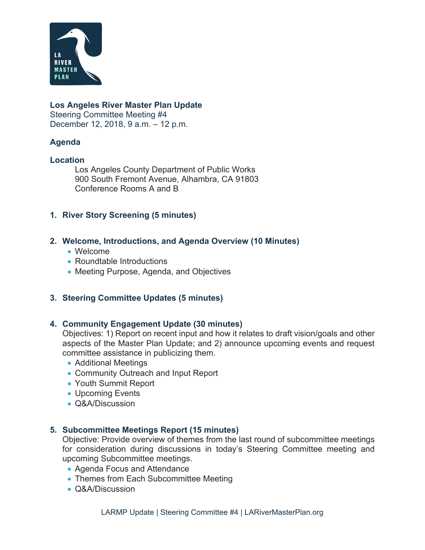

#### **Los Angeles River Master Plan Update**

Steering Committee Meeting #4 December 12, 2018, 9 a.m. – 12 p.m.

# **Agenda**

#### **Location**

Los Angeles County Department of Public Works 900 South Fremont Avenue, Alhambra, CA 91803 Conference Rooms A and B

### **1. River Story Screening (5 minutes)**

#### **2. Welcome, Introductions, and Agenda Overview (10 Minutes)**

- Welcome
- Roundtable Introductions
- Meeting Purpose, Agenda, and Objectives

# **3. Steering Committee Updates (5 minutes)**

#### **4. Community Engagement Update (30 minutes)**

Objectives: 1) Report on recent input and how it relates to draft vision/goals and other aspects of the Master Plan Update; and 2) announce upcoming events and request committee assistance in publicizing them.

- Additional Meetings
- Community Outreach and Input Report
- Youth Summit Report
- Upcoming Events
- Q&A/Discussion

#### **5. Subcommittee Meetings Report (15 minutes)**

Objective: Provide overview of themes from the last round of subcommittee meetings for consideration during discussions in today's Steering Committee meeting and upcoming Subcommittee meetings.

- Agenda Focus and Attendance
- Themes from Each Subcommittee Meeting
- Q&A/Discussion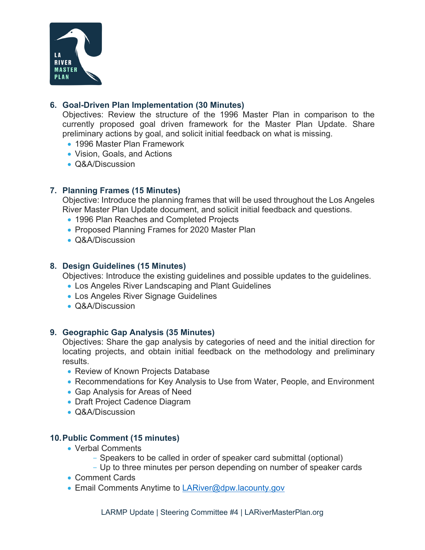

### **6. Goal-Driven Plan Implementation (30 Minutes)**

Objectives: Review the structure of the 1996 Master Plan in comparison to the currently proposed goal driven framework for the Master Plan Update. Share preliminary actions by goal, and solicit initial feedback on what is missing.

- 1996 Master Plan Framework
- Vision, Goals, and Actions
- Q&A/Discussion

# **7. Planning Frames (15 Minutes)**

Objective: Introduce the planning frames that will be used throughout the Los Angeles River Master Plan Update document, and solicit initial feedback and questions.

- 1996 Plan Reaches and Completed Projects
- Proposed Planning Frames for 2020 Master Plan
- Q&A/Discussion

# **8. Design Guidelines (15 Minutes)**

Objectives: Introduce the existing guidelines and possible updates to the guidelines.

- Los Angeles River Landscaping and Plant Guidelines
- Los Angeles River Signage Guidelines
- Q&A/Discussion

#### **9. Geographic Gap Analysis (35 Minutes)**

Objectives: Share the gap analysis by categories of need and the initial direction for locating projects, and obtain initial feedback on the methodology and preliminary results.

- Review of Known Projects Database
- Recommendations for Key Analysis to Use from Water, People, and Environment
- Gap Analysis for Areas of Need
- Draft Project Cadence Diagram
- Q&A/Discussion

# **10. Public Comment (15 minutes)**

- Verbal Comments
	- Speakers to be called in order of speaker card submittal (optional)
	- Up to three minutes per person depending on number of speaker cards
- Comment Cards
- **Email Comments Anytime to LARiver@dpw.lacounty.gov**